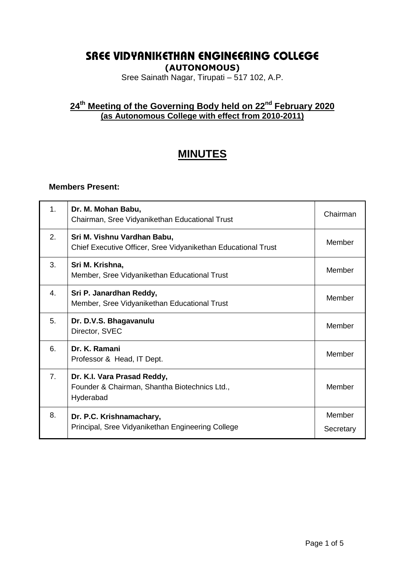# **SREE VIDYANIKETHAN ENGINEERING COLLEGE**

**(AUTONOMOUS)**

Sree Sainath Nagar, Tirupati – 517 102, A.P.

# **24 th Meeting of the Governing Body held on 22nd February 2020 (as Autonomous College with effect from 2010-2011)**

# **MINUTES**

#### **Members Present:**

| 1.               | Dr. M. Mohan Babu,<br>Chairman, Sree Vidyanikethan Educational Trust                         | Chairman            |
|------------------|----------------------------------------------------------------------------------------------|---------------------|
| 2.               | Sri M. Vishnu Vardhan Babu,<br>Chief Executive Officer, Sree Vidyanikethan Educational Trust | Member              |
| 3.               | Sri M. Krishna,<br>Member, Sree Vidyanikethan Educational Trust                              | Member              |
| $\overline{4}$ . | Sri P. Janardhan Reddy,<br>Member, Sree Vidyanikethan Educational Trust                      | Member              |
| 5.               | Dr. D.V.S. Bhagavanulu<br>Director, SVEC                                                     | Member              |
| 6.               | Dr. K. Ramani<br>Professor & Head, IT Dept.                                                  | Member              |
| 7 <sub>1</sub>   | Dr. K.I. Vara Prasad Reddy,<br>Founder & Chairman, Shantha Biotechnics Ltd.,<br>Hyderabad    | Member              |
| 8.               | Dr. P.C. Krishnamachary,<br>Principal, Sree Vidyanikethan Engineering College                | Member<br>Secretary |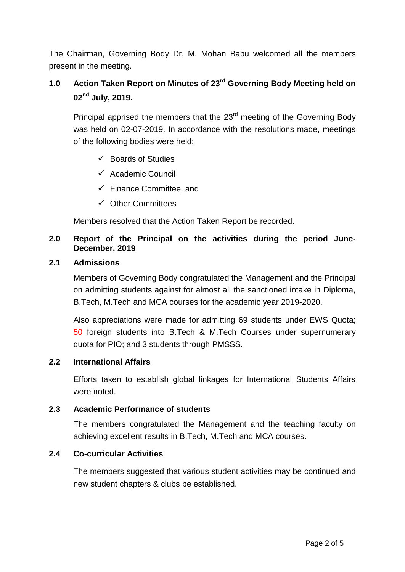The Chairman, Governing Body Dr. M. Mohan Babu welcomed all the members present in the meeting.

# **1.0 Action Taken Report on Minutes of 23 rd Governing Body Meeting held on 02 nd July, 2019.**

Principal apprised the members that the 23<sup>rd</sup> meeting of the Governing Body was held on 02-07-2019. In accordance with the resolutions made, meetings of the following bodies were held:

- $\checkmark$  Boards of Studies
- $\checkmark$  Academic Council
- $\checkmark$  Finance Committee, and
- $\checkmark$  Other Committees

Members resolved that the Action Taken Report be recorded.

# **2.0 Report of the Principal on the activities during the period June-December, 2019**

# **2.1 Admissions**

Members of Governing Body congratulated the Management and the Principal on admitting students against for almost all the sanctioned intake in Diploma, B.Tech, M.Tech and MCA courses for the academic year 2019-2020.

Also appreciations were made for admitting 69 students under EWS Quota; 50 foreign students into B.Tech & M.Tech Courses under supernumerary quota for PIO; and 3 students through PMSSS.

# **2.2 International Affairs**

Efforts taken to establish global linkages for International Students Affairs were noted.

### **2.3 Academic Performance of students**

The members congratulated the Management and the teaching faculty on achieving excellent results in B.Tech, M.Tech and MCA courses.

### **2.4 Co-curricular Activities**

The members suggested that various student activities may be continued and new student chapters & clubs be established.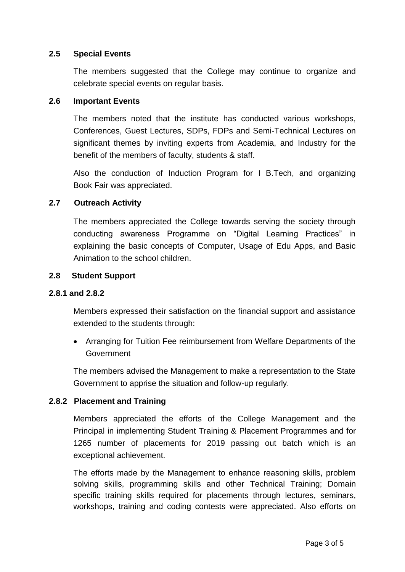# **2.5 Special Events**

The members suggested that the College may continue to organize and celebrate special events on regular basis.

### **2.6 Important Events**

The members noted that the institute has conducted various workshops, Conferences, Guest Lectures, SDPs, FDPs and Semi-Technical Lectures on significant themes by inviting experts from Academia, and Industry for the benefit of the members of faculty, students & staff.

Also the conduction of Induction Program for I B.Tech, and organizing Book Fair was appreciated.

### **2.7 Outreach Activity**

The members appreciated the College towards serving the society through conducting awareness Programme on "Digital Learning Practices" in explaining the basic concepts of Computer, Usage of Edu Apps, and Basic Animation to the school children.

#### **2.8 Student Support**

#### **2.8.1 and 2.8.2**

Members expressed their satisfaction on the financial support and assistance extended to the students through:

 Arranging for Tuition Fee reimbursement from Welfare Departments of the Government

The members advised the Management to make a representation to the State Government to apprise the situation and follow-up regularly.

### **2.8.2 Placement and Training**

Members appreciated the efforts of the College Management and the Principal in implementing Student Training & Placement Programmes and for 1265 number of placements for 2019 passing out batch which is an exceptional achievement.

The efforts made by the Management to enhance reasoning skills, problem solving skills, programming skills and other Technical Training; Domain specific training skills required for placements through lectures, seminars, workshops, training and coding contests were appreciated. Also efforts on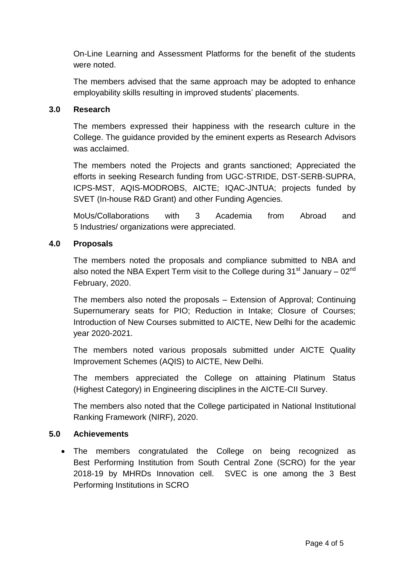On-Line Learning and Assessment Platforms for the benefit of the students were noted.

The members advised that the same approach may be adopted to enhance employability skills resulting in improved students' placements.

# **3.0 Research**

The members expressed their happiness with the research culture in the College. The guidance provided by the eminent experts as Research Advisors was acclaimed.

The members noted the Projects and grants sanctioned; Appreciated the efforts in seeking Research funding from UGC-STRIDE, DST-SERB-SUPRA, ICPS-MST, AQIS-MODROBS, AICTE; IQAC-JNTUA; projects funded by SVET (In-house R&D Grant) and other Funding Agencies.

MoUs/Collaborations with 3 Academia from Abroad and 5 Industries/ organizations were appreciated.

# **4.0 Proposals**

The members noted the proposals and compliance submitted to NBA and also noted the NBA Expert Term visit to the College during  $31<sup>st</sup>$  January –  $02<sup>nd</sup>$ February, 2020.

The members also noted the proposals – Extension of Approval; Continuing Supernumerary seats for PIO; Reduction in Intake; Closure of Courses; Introduction of New Courses submitted to AICTE, New Delhi for the academic year 2020-2021.

The members noted various proposals submitted under AICTE Quality Improvement Schemes (AQIS) to AICTE, New Delhi.

The members appreciated the College on attaining Platinum Status (Highest Category) in Engineering disciplines in the AICTE-CII Survey.

The members also noted that the College participated in National Institutional Ranking Framework (NIRF), 2020.

### **5.0 Achievements**

 The members congratulated the College on being recognized as Best Performing Institution from South Central Zone (SCRO) for the year 2018-19 by MHRDs Innovation cell. SVEC is one among the 3 Best Performing Institutions in SCRO